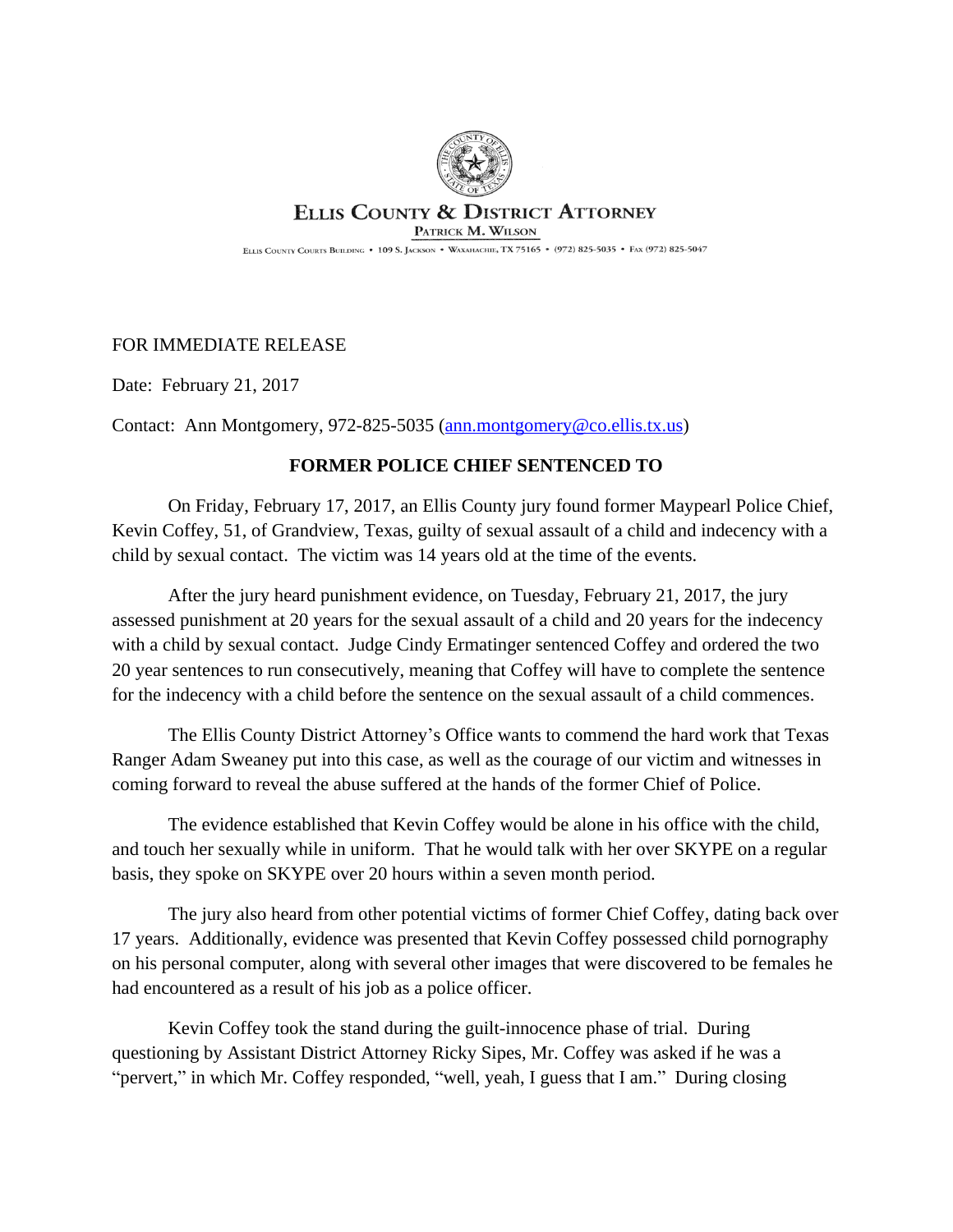

## **ELLIS COUNTY & DISTRICT ATTORNEY**

PATRICK M. WILSON

ELLIS COUNTY COURTS BUILDING . 109 S. JACKSON . WAXAHACHIE, TX 75165 . (972) 825-5035 . FAX (972) 825-5047

## FOR IMMEDIATE RELEASE

Date: February 21, 2017

Contact: Ann Montgomery, 972-825-5035 ([ann.montgomery@co.ellis.tx.us](mailto:ann.montgomery@co.ellis.tx.us))

## **FORMER POLICE CHIEF SENTENCED TO**

On Friday, February 17, 2017, an Ellis County jury found former Maypearl Police Chief, Kevin Coffey, 51, of Grandview, Texas, guilty of sexual assault of a child and indecency with a child by sexual contact. The victim was 14 years old at the time of the events.

After the jury heard punishment evidence, on Tuesday, February 21, 2017, the jury assessed punishment at 20 years for the sexual assault of a child and 20 years for the indecency with a child by sexual contact. Judge Cindy Ermatinger sentenced Coffey and ordered the two 20 year sentences to run consecutively, meaning that Coffey will have to complete the sentence for the indecency with a child before the sentence on the sexual assault of a child commences.

The Ellis County District Attorney's Office wants to commend the hard work that Texas Ranger Adam Sweaney put into this case, as well as the courage of our victim and witnesses in coming forward to reveal the abuse suffered at the hands of the former Chief of Police.

The evidence established that Kevin Coffey would be alone in his office with the child, and touch her sexually while in uniform. That he would talk with her over SKYPE on a regular basis, they spoke on SKYPE over 20 hours within a seven month period.

The jury also heard from other potential victims of former Chief Coffey, dating back over 17 years. Additionally, evidence was presented that Kevin Coffey possessed child pornography on his personal computer, along with several other images that were discovered to be females he had encountered as a result of his job as a police officer.

Kevin Coffey took the stand during the guilt-innocence phase of trial. During questioning by Assistant District Attorney Ricky Sipes, Mr. Coffey was asked if he was a "pervert," in which Mr. Coffey responded, "well, yeah, I guess that I am." During closing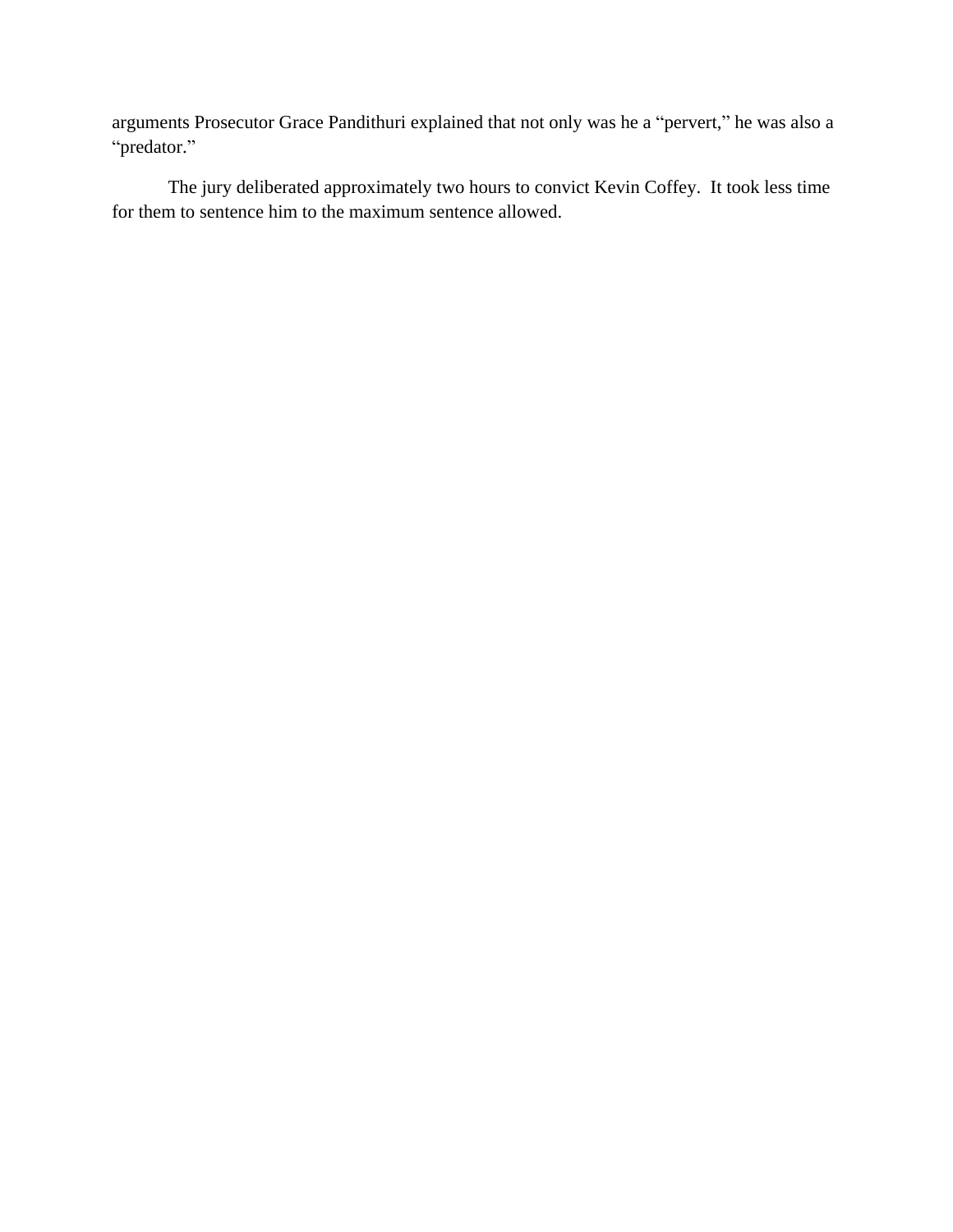arguments Prosecutor Grace Pandithuri explained that not only was he a "pervert," he was also a "predator."

The jury deliberated approximately two hours to convict Kevin Coffey. It took less time for them to sentence him to the maximum sentence allowed.